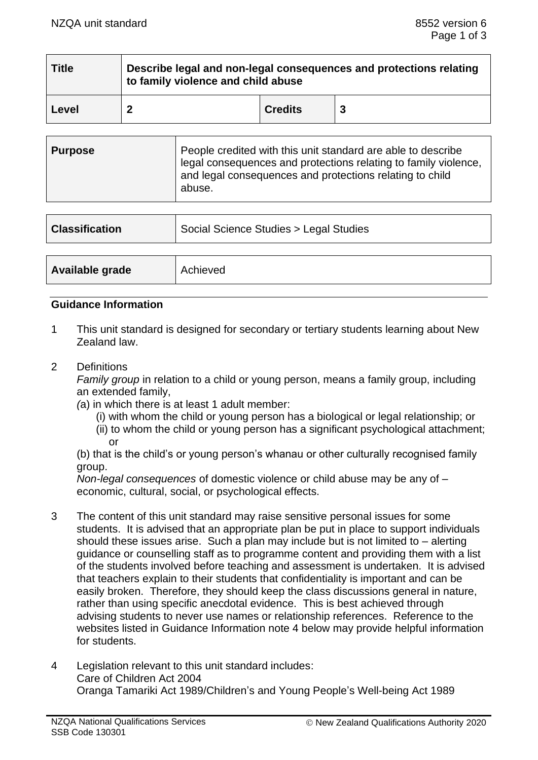| <b>Title</b> | Describe legal and non-legal consequences and protections relating<br>to family violence and child abuse |                |  |
|--------------|----------------------------------------------------------------------------------------------------------|----------------|--|
| Level        |                                                                                                          | <b>Credits</b> |  |

| <b>Purpose</b> | People credited with this unit standard are able to describe<br>legal consequences and protections relating to family violence,<br>and legal consequences and protections relating to child<br>abuse. |
|----------------|-------------------------------------------------------------------------------------------------------------------------------------------------------------------------------------------------------|
|----------------|-------------------------------------------------------------------------------------------------------------------------------------------------------------------------------------------------------|

| <b>Classification</b> | Social Science Studies > Legal Studies |  |
|-----------------------|----------------------------------------|--|
|                       |                                        |  |
| Available grade       | Achieved                               |  |

#### **Guidance Information**

- 1 This unit standard is designed for secondary or tertiary students learning about New Zealand law.
- 2 Definitions

*Family group* in relation to a child or young person, means a family group, including an extended family,

- *(*a) in which there is at least 1 adult member:
	- (i) with whom the child or young person has a biological or legal relationship; or
	- (ii) to whom the child or young person has a significant psychological attachment; or

(b) that is the child's or young person's whanau or other culturally recognised family group.

*Non-legal consequences* of domestic violence or child abuse may be any of – economic, cultural, social, or psychological effects.

- 3 The content of this unit standard may raise sensitive personal issues for some students. It is advised that an appropriate plan be put in place to support individuals should these issues arise. Such a plan may include but is not limited to – alerting guidance or counselling staff as to programme content and providing them with a list of the students involved before teaching and assessment is undertaken. It is advised that teachers explain to their students that confidentiality is important and can be easily broken. Therefore, they should keep the class discussions general in nature, rather than using specific anecdotal evidence. This is best achieved through advising students to never use names or relationship references. Reference to the websites listed in Guidance Information note 4 below may provide helpful information for students.
- 4 Legislation relevant to this unit standard includes: Care of Children Act 2004 Oranga Tamariki Act 1989/Children's and Young People's Well-being Act 1989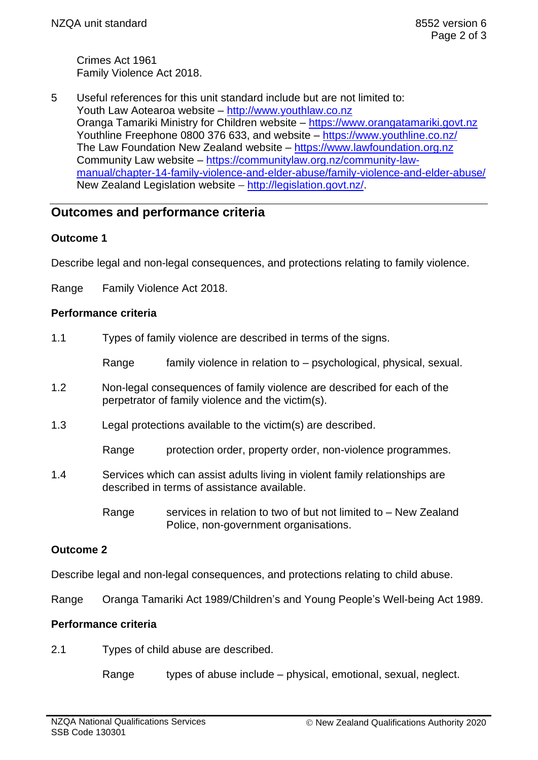Crimes Act 1961 Family Violence Act 2018.

5 Useful references for this unit standard include but are not limited to: Youth Law Aotearoa website – [http://www.youthlaw.co.nz](http://www.youthlaw.co.nz/) Oranga Tamariki Ministry for Children website – [https://www.orangatamariki.govt.nz](https://www.orangatamariki.govt.nz/) Youthline Freephone 0800 376 633, and website – <https://www.youthline.co.nz/> The Law Foundation New Zealand website – [https://www.lawfoundation.org.nz](https://www.lawfoundation.org.nz/) Community Law website – [https://communitylaw.org.nz/community-law](https://communitylaw.org.nz/community-law-manual/chapter-14-family-violence-and-elder-abuse/family-violence-and-elder-abuse/)[manual/chapter-14-family-violence-and-elder-abuse/family-violence-and-elder-abuse/](https://communitylaw.org.nz/community-law-manual/chapter-14-family-violence-and-elder-abuse/family-violence-and-elder-abuse/) New Zealand Legislation website – [http://legislation.govt.nz/.](http://legislation.govt.nz/)

# **Outcomes and performance criteria**

## **Outcome 1**

Describe legal and non-legal consequences, and protections relating to family violence.

Range Family Violence Act 2018.

### **Performance criteria**

1.1 Types of family violence are described in terms of the signs.

Range family violence in relation to – psychological, physical, sexual.

- 1.2 Non-legal consequences of family violence are described for each of the perpetrator of family violence and the victim(s).
- 1.3 Legal protections available to the victim(s) are described.

Range protection order, property order, non-violence programmes.

- 1.4 Services which can assist adults living in violent family relationships are described in terms of assistance available.
	- Range services in relation to two of but not limited to New Zealand Police, non-government organisations.

# **Outcome 2**

Describe legal and non-legal consequences, and protections relating to child abuse.

Range Oranga Tamariki Act 1989/Children's and Young People's Well-being Act 1989.

### **Performance criteria**

2.1 Types of child abuse are described.

Range types of abuse include – physical, emotional, sexual, neglect.